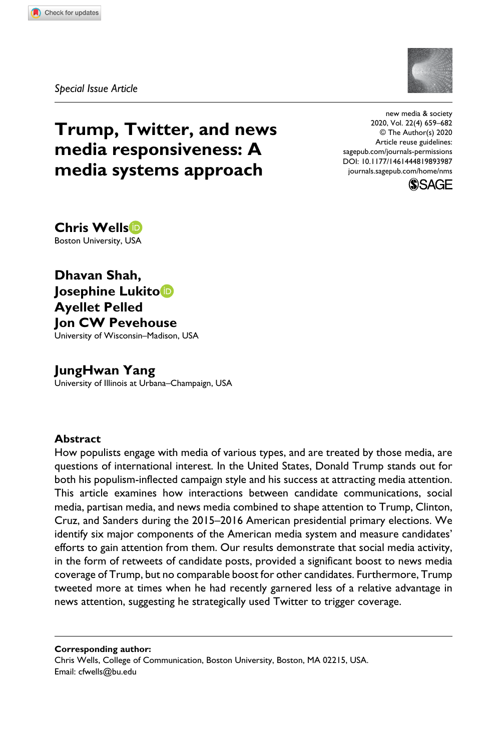**8939[87](http://crossmark.crossref.org/dialog/?doi=10.1177%2F1461444819893987&domain=pdf&date_stamp=2020-04-02)** NMS0010.1177/1461444819893987New Media & Society**Wells et al.**

*Special Issue Article*

# **Trump, Twitter, and news media responsiveness: A media systems approach**

https://doi.org/10.1177/1461444819893987 DOI: 10.1177/1461444819893987 new media & society 2020, Vol. 22(4) 659–682 © The Author(s) 2020 Article reuse guidelines: [sagepub.com/journals-permissions](https://uk.sagepub.com/en-gb/journals-permissions) [journals.sagepub.com/home/nms](https://journals.sagepub.com/home/nms)



**Chris Wells** Boston University, USA

**Dhavan Shah, Josephine Lukito Ayellet Pelled Jon CW Pevehouse** University of Wisconsin–Madison, USA

**JungHwan Yang**

University of Illinois at Urbana–Champaign, USA

### **Abstract**

How populists engage with media of various types, and are treated by those media, are questions of international interest. In the United States, Donald Trump stands out for both his populism-inflected campaign style and his success at attracting media attention. This article examines how interactions between candidate communications, social media, partisan media, and news media combined to shape attention to Trump, Clinton, Cruz, and Sanders during the 2015–2016 American presidential primary elections. We identify six major components of the American media system and measure candidates' efforts to gain attention from them. Our results demonstrate that social media activity, in the form of retweets of candidate posts, provided a significant boost to news media coverage of Trump, but no comparable boost for other candidates. Furthermore, Trump tweeted more at times when he had recently garnered less of a relative advantage in news attention, suggesting he strategically used Twitter to trigger coverage.

**Corresponding author:**

Chris Wells, College of Communication, Boston University, Boston, MA 02215, USA. Email: [cfwells@bu.edu](mailto:cfwells@bu.edu)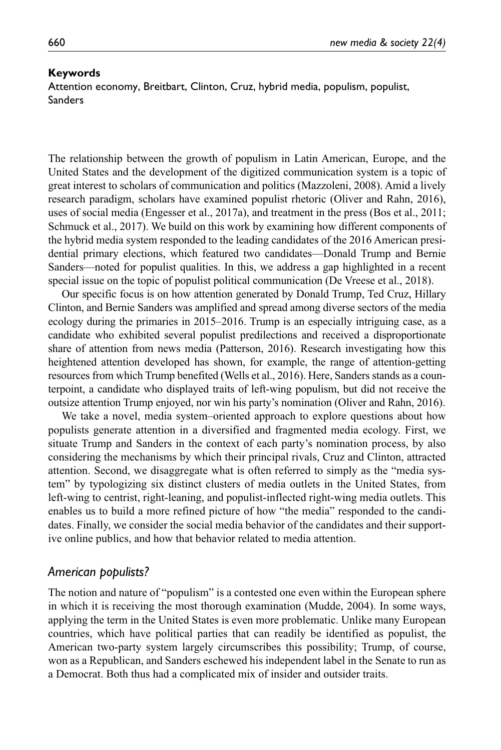#### **Keywords**

Attention economy, Breitbart, Clinton, Cruz, hybrid media, populism, populist, Sanders

The relationship between the growth of populism in Latin American, Europe, and the United States and the development of the digitized communication system is a topic of great interest to scholars of communication and politics (Mazzoleni, 2008). Amid a lively research paradigm, scholars have examined populist rhetoric (Oliver and Rahn, 2016), uses of social media (Engesser et al., 2017a), and treatment in the press (Bos et al., 2011; Schmuck et al., 2017). We build on this work by examining how different components of the hybrid media system responded to the leading candidates of the 2016 American presidential primary elections, which featured two candidates—Donald Trump and Bernie Sanders—noted for populist qualities. In this, we address a gap highlighted in a recent special issue on the topic of populist political communication (De Vreese et al., 2018).

Our specific focus is on how attention generated by Donald Trump, Ted Cruz, Hillary Clinton, and Bernie Sanders was amplified and spread among diverse sectors of the media ecology during the primaries in 2015–2016. Trump is an especially intriguing case, as a candidate who exhibited several populist predilections and received a disproportionate share of attention from news media (Patterson, 2016). Research investigating how this heightened attention developed has shown, for example, the range of attention-getting resources from which Trump benefited (Wells et al., 2016). Here, Sanders stands as a counterpoint, a candidate who displayed traits of left-wing populism, but did not receive the outsize attention Trump enjoyed, nor win his party's nomination (Oliver and Rahn, 2016).

We take a novel, media system–oriented approach to explore questions about how populists generate attention in a diversified and fragmented media ecology. First, we situate Trump and Sanders in the context of each party's nomination process, by also considering the mechanisms by which their principal rivals, Cruz and Clinton, attracted attention. Second, we disaggregate what is often referred to simply as the "media system" by typologizing six distinct clusters of media outlets in the United States, from left-wing to centrist, right-leaning, and populist-inflected right-wing media outlets. This enables us to build a more refined picture of how "the media" responded to the candidates. Finally, we consider the social media behavior of the candidates and their supportive online publics, and how that behavior related to media attention.

#### *American populists?*

The notion and nature of "populism" is a contested one even within the European sphere in which it is receiving the most thorough examination (Mudde, 2004). In some ways, applying the term in the United States is even more problematic. Unlike many European countries, which have political parties that can readily be identified as populist, the American two-party system largely circumscribes this possibility; Trump, of course, won as a Republican, and Sanders eschewed his independent label in the Senate to run as a Democrat. Both thus had a complicated mix of insider and outsider traits.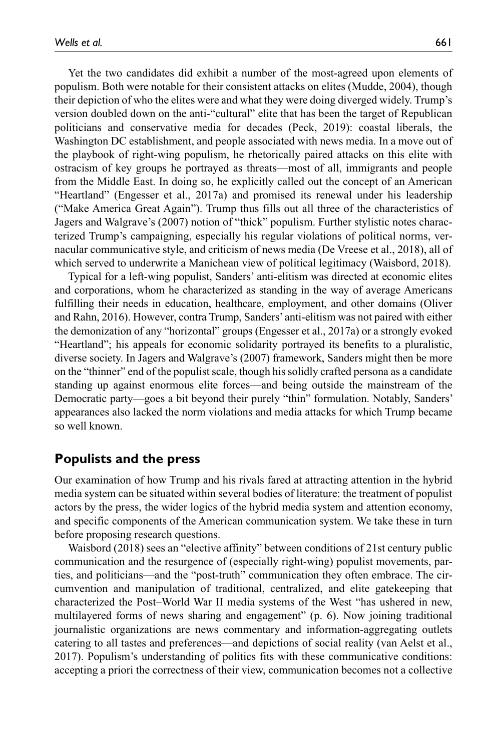Yet the two candidates did exhibit a number of the most-agreed upon elements of populism. Both were notable for their consistent attacks on elites (Mudde, 2004), though their depiction of who the elites were and what they were doing diverged widely. Trump's version doubled down on the anti-"cultural" elite that has been the target of Republican politicians and conservative media for decades (Peck, 2019): coastal liberals, the Washington DC establishment, and people associated with news media. In a move out of the playbook of right-wing populism, he rhetorically paired attacks on this elite with ostracism of key groups he portrayed as threats—most of all, immigrants and people from the Middle East. In doing so, he explicitly called out the concept of an American "Heartland" (Engesser et al., 2017a) and promised its renewal under his leadership ("Make America Great Again"). Trump thus fills out all three of the characteristics of Jagers and Walgrave's (2007) notion of "thick" populism. Further stylistic notes characterized Trump's campaigning, especially his regular violations of political norms, vernacular communicative style, and criticism of news media (De Vreese et al., 2018), all of which served to underwrite a Manichean view of political legitimacy (Waisbord, 2018).

Typical for a left-wing populist, Sanders' anti-elitism was directed at economic elites and corporations, whom he characterized as standing in the way of average Americans fulfilling their needs in education, healthcare, employment, and other domains (Oliver and Rahn, 2016). However, contra Trump, Sanders' anti-elitism was not paired with either the demonization of any "horizontal" groups (Engesser et al., 2017a) or a strongly evoked "Heartland"; his appeals for economic solidarity portrayed its benefits to a pluralistic, diverse society. In Jagers and Walgrave's (2007) framework, Sanders might then be more on the "thinner" end of the populist scale, though his solidly crafted persona as a candidate standing up against enormous elite forces—and being outside the mainstream of the Democratic party—goes a bit beyond their purely "thin" formulation. Notably, Sanders' appearances also lacked the norm violations and media attacks for which Trump became so well known.

### **Populists and the press**

Our examination of how Trump and his rivals fared at attracting attention in the hybrid media system can be situated within several bodies of literature: the treatment of populist actors by the press, the wider logics of the hybrid media system and attention economy, and specific components of the American communication system. We take these in turn before proposing research questions.

Waisbord (2018) sees an "elective affinity" between conditions of 21st century public communication and the resurgence of (especially right-wing) populist movements, parties, and politicians—and the "post-truth" communication they often embrace. The circumvention and manipulation of traditional, centralized, and elite gatekeeping that characterized the Post–World War II media systems of the West "has ushered in new, multilayered forms of news sharing and engagement" (p. 6). Now joining traditional journalistic organizations are news commentary and information-aggregating outlets catering to all tastes and preferences—and depictions of social reality (van Aelst et al., 2017). Populism's understanding of politics fits with these communicative conditions: accepting a priori the correctness of their view, communication becomes not a collective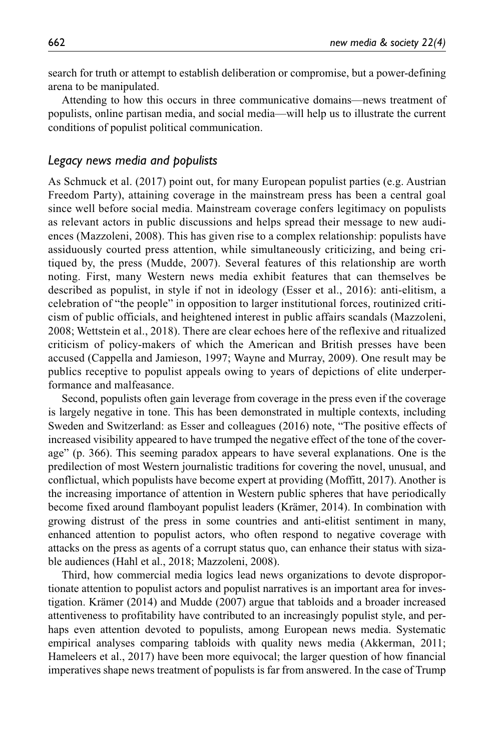search for truth or attempt to establish deliberation or compromise, but a power-defining arena to be manipulated.

Attending to how this occurs in three communicative domains—news treatment of populists, online partisan media, and social media—will help us to illustrate the current conditions of populist political communication.

### *Legacy news media and populists*

As Schmuck et al. (2017) point out, for many European populist parties (e.g. Austrian Freedom Party), attaining coverage in the mainstream press has been a central goal since well before social media. Mainstream coverage confers legitimacy on populists as relevant actors in public discussions and helps spread their message to new audiences (Mazzoleni, 2008). This has given rise to a complex relationship: populists have assiduously courted press attention, while simultaneously criticizing, and being critiqued by, the press (Mudde, 2007). Several features of this relationship are worth noting. First, many Western news media exhibit features that can themselves be described as populist, in style if not in ideology (Esser et al., 2016): anti-elitism, a celebration of "the people" in opposition to larger institutional forces, routinized criticism of public officials, and heightened interest in public affairs scandals (Mazzoleni, 2008; Wettstein et al., 2018). There are clear echoes here of the reflexive and ritualized criticism of policy-makers of which the American and British presses have been accused (Cappella and Jamieson, 1997; Wayne and Murray, 2009). One result may be publics receptive to populist appeals owing to years of depictions of elite underperformance and malfeasance.

Second, populists often gain leverage from coverage in the press even if the coverage is largely negative in tone. This has been demonstrated in multiple contexts, including Sweden and Switzerland: as Esser and colleagues (2016) note, "The positive effects of increased visibility appeared to have trumped the negative effect of the tone of the coverage" (p. 366). This seeming paradox appears to have several explanations. One is the predilection of most Western journalistic traditions for covering the novel, unusual, and conflictual, which populists have become expert at providing (Moffitt, 2017). Another is the increasing importance of attention in Western public spheres that have periodically become fixed around flamboyant populist leaders (Krämer, 2014). In combination with growing distrust of the press in some countries and anti-elitist sentiment in many, enhanced attention to populist actors, who often respond to negative coverage with attacks on the press as agents of a corrupt status quo, can enhance their status with sizable audiences (Hahl et al., 2018; Mazzoleni, 2008).

Third, how commercial media logics lead news organizations to devote disproportionate attention to populist actors and populist narratives is an important area for investigation. Krämer (2014) and Mudde (2007) argue that tabloids and a broader increased attentiveness to profitability have contributed to an increasingly populist style, and perhaps even attention devoted to populists, among European news media. Systematic empirical analyses comparing tabloids with quality news media (Akkerman, 2011; Hameleers et al., 2017) have been more equivocal; the larger question of how financial imperatives shape news treatment of populists is far from answered. In the case of Trump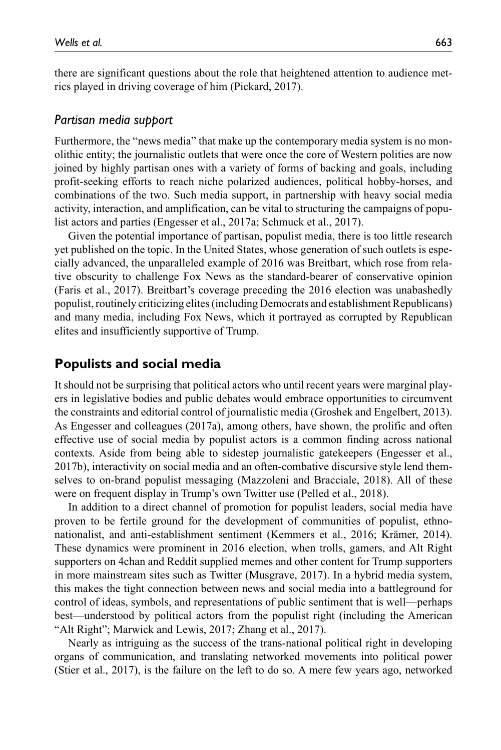there are significant questions about the role that heightened attention to audience metrics played in driving coverage of him (Pickard, 2017).

#### *Partisan media support*

Furthermore, the "news media" that make up the contemporary media system is no monolithic entity; the journalistic outlets that were once the core of Western polities are now joined by highly partisan ones with a variety of forms of backing and goals, including profit-seeking efforts to reach niche polarized audiences, political hobby-horses, and combinations of the two. Such media support, in partnership with heavy social media activity, interaction, and amplification, can be vital to structuring the campaigns of populist actors and parties (Engesser et al., 2017a; Schmuck et al., 2017).

Given the potential importance of partisan, populist media, there is too little research yet published on the topic. In the United States, whose generation of such outlets is especially advanced, the unparalleled example of 2016 was Breitbart, which rose from relative obscurity to challenge Fox News as the standard-bearer of conservative opinion (Faris et al., 2017). Breitbart's coverage preceding the 2016 election was unabashedly populist, routinely criticizing elites (including Democrats and establishment Republicans) and many media, including Fox News, which it portrayed as corrupted by Republican elites and insufficiently supportive of Trump.

### **Populists and social media**

It should not be surprising that political actors who until recent years were marginal players in legislative bodies and public debates would embrace opportunities to circumvent the constraints and editorial control of journalistic media (Groshek and Engelbert, 2013). As Engesser and colleagues (2017a), among others, have shown, the prolific and often effective use of social media by populist actors is a common finding across national contexts. Aside from being able to sidestep journalistic gatekeepers (Engesser et al., 2017b), interactivity on social media and an often-combative discursive style lend themselves to on-brand populist messaging (Mazzoleni and Bracciale, 2018). All of these were on frequent display in Trump's own Twitter use (Pelled et al., 2018).

In addition to a direct channel of promotion for populist leaders, social media have proven to be fertile ground for the development of communities of populist, ethnonationalist, and anti-establishment sentiment (Kemmers et al., 2016; Krämer, 2014). These dynamics were prominent in 2016 election, when trolls, gamers, and Alt Right supporters on 4chan and Reddit supplied memes and other content for Trump supporters in more mainstream sites such as Twitter (Musgrave, 2017). In a hybrid media system, this makes the tight connection between news and social media into a battleground for control of ideas, symbols, and representations of public sentiment that is well—perhaps best—understood by political actors from the populist right (including the American "Alt Right"; Marwick and Lewis, 2017; Zhang et al., 2017).

Nearly as intriguing as the success of the trans-national political right in developing organs of communication, and translating networked movements into political power (Stier et al., 2017), is the failure on the left to do so. A mere few years ago, networked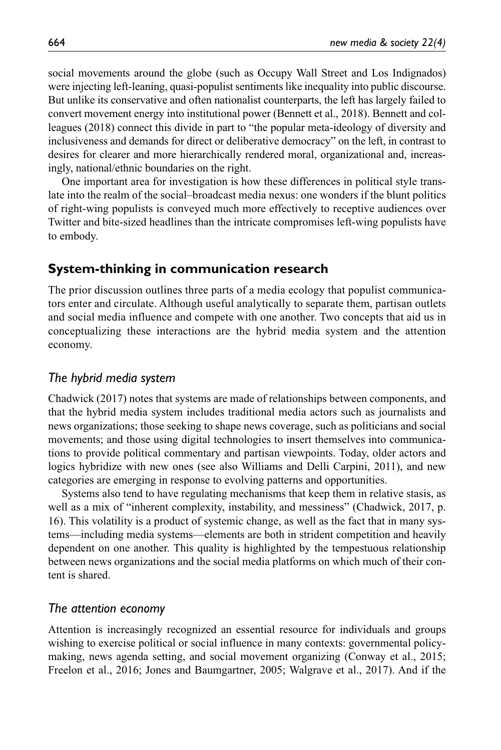social movements around the globe (such as Occupy Wall Street and Los Indignados) were injecting left-leaning, quasi-populist sentiments like inequality into public discourse. But unlike its conservative and often nationalist counterparts, the left has largely failed to convert movement energy into institutional power (Bennett et al., 2018). Bennett and colleagues (2018) connect this divide in part to "the popular meta-ideology of diversity and inclusiveness and demands for direct or deliberative democracy" on the left, in contrast to desires for clearer and more hierarchically rendered moral, organizational and, increasingly, national/ethnic boundaries on the right.

One important area for investigation is how these differences in political style translate into the realm of the social–broadcast media nexus: one wonders if the blunt politics of right-wing populists is conveyed much more effectively to receptive audiences over Twitter and bite-sized headlines than the intricate compromises left-wing populists have to embody.

### **System-thinking in communication research**

The prior discussion outlines three parts of a media ecology that populist communicators enter and circulate. Although useful analytically to separate them, partisan outlets and social media influence and compete with one another. Two concepts that aid us in conceptualizing these interactions are the hybrid media system and the attention economy.

#### *The hybrid media system*

Chadwick (2017) notes that systems are made of relationships between components, and that the hybrid media system includes traditional media actors such as journalists and news organizations; those seeking to shape news coverage, such as politicians and social movements; and those using digital technologies to insert themselves into communications to provide political commentary and partisan viewpoints. Today, older actors and logics hybridize with new ones (see also Williams and Delli Carpini, 2011), and new categories are emerging in response to evolving patterns and opportunities.

Systems also tend to have regulating mechanisms that keep them in relative stasis, as well as a mix of "inherent complexity, instability, and messiness" (Chadwick, 2017, p. 16). This volatility is a product of systemic change, as well as the fact that in many systems—including media systems—elements are both in strident competition and heavily dependent on one another. This quality is highlighted by the tempestuous relationship between news organizations and the social media platforms on which much of their content is shared.

#### *The attention economy*

Attention is increasingly recognized an essential resource for individuals and groups wishing to exercise political or social influence in many contexts: governmental policymaking, news agenda setting, and social movement organizing (Conway et al., 2015; Freelon et al., 2016; Jones and Baumgartner, 2005; Walgrave et al., 2017). And if the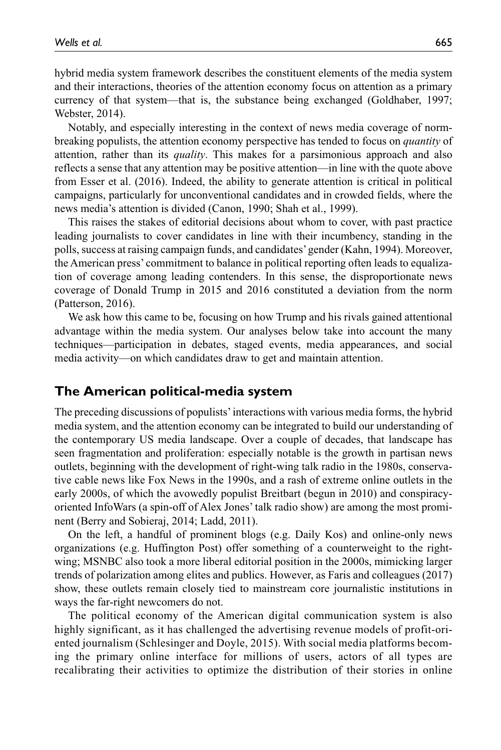hybrid media system framework describes the constituent elements of the media system and their interactions, theories of the attention economy focus on attention as a primary currency of that system—that is, the substance being exchanged (Goldhaber, 1997; Webster, 2014).

Notably, and especially interesting in the context of news media coverage of normbreaking populists, the attention economy perspective has tended to focus on *quantity* of attention, rather than its *quality*. This makes for a parsimonious approach and also reflects a sense that any attention may be positive attention—in line with the quote above from Esser et al. (2016). Indeed, the ability to generate attention is critical in political campaigns, particularly for unconventional candidates and in crowded fields, where the news media's attention is divided (Canon, 1990; Shah et al., 1999).

This raises the stakes of editorial decisions about whom to cover, with past practice leading journalists to cover candidates in line with their incumbency, standing in the polls, success at raising campaign funds, and candidates' gender (Kahn, 1994). Moreover, the American press' commitment to balance in political reporting often leads to equalization of coverage among leading contenders. In this sense, the disproportionate news coverage of Donald Trump in 2015 and 2016 constituted a deviation from the norm (Patterson, 2016).

We ask how this came to be, focusing on how Trump and his rivals gained attentional advantage within the media system. Our analyses below take into account the many techniques—participation in debates, staged events, media appearances, and social media activity—on which candidates draw to get and maintain attention.

### **The American political-media system**

The preceding discussions of populists' interactions with various media forms, the hybrid media system, and the attention economy can be integrated to build our understanding of the contemporary US media landscape. Over a couple of decades, that landscape has seen fragmentation and proliferation: especially notable is the growth in partisan news outlets, beginning with the development of right-wing talk radio in the 1980s, conservative cable news like Fox News in the 1990s, and a rash of extreme online outlets in the early 2000s, of which the avowedly populist Breitbart (begun in 2010) and conspiracyoriented InfoWars (a spin-off of Alex Jones' talk radio show) are among the most prominent (Berry and Sobieraj, 2014; Ladd, 2011).

On the left, a handful of prominent blogs (e.g. Daily Kos) and online-only news organizations (e.g. Huffington Post) offer something of a counterweight to the rightwing; MSNBC also took a more liberal editorial position in the 2000s, mimicking larger trends of polarization among elites and publics. However, as Faris and colleagues (2017) show, these outlets remain closely tied to mainstream core journalistic institutions in ways the far-right newcomers do not.

The political economy of the American digital communication system is also highly significant, as it has challenged the advertising revenue models of profit-oriented journalism (Schlesinger and Doyle, 2015). With social media platforms becoming the primary online interface for millions of users, actors of all types are recalibrating their activities to optimize the distribution of their stories in online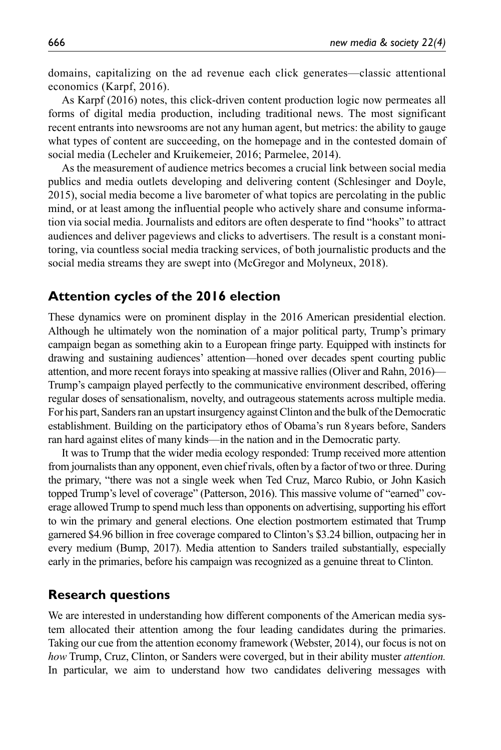domains, capitalizing on the ad revenue each click generates—classic attentional economics (Karpf, 2016).

As Karpf (2016) notes, this click-driven content production logic now permeates all forms of digital media production, including traditional news. The most significant recent entrants into newsrooms are not any human agent, but metrics: the ability to gauge what types of content are succeeding, on the homepage and in the contested domain of social media (Lecheler and Kruikemeier, 2016; Parmelee, 2014).

As the measurement of audience metrics becomes a crucial link between social media publics and media outlets developing and delivering content (Schlesinger and Doyle, 2015), social media become a live barometer of what topics are percolating in the public mind, or at least among the influential people who actively share and consume information via social media. Journalists and editors are often desperate to find "hooks" to attract audiences and deliver pageviews and clicks to advertisers. The result is a constant monitoring, via countless social media tracking services, of both journalistic products and the social media streams they are swept into (McGregor and Molyneux, 2018).

### **Attention cycles of the 2016 election**

These dynamics were on prominent display in the 2016 American presidential election. Although he ultimately won the nomination of a major political party, Trump's primary campaign began as something akin to a European fringe party. Equipped with instincts for drawing and sustaining audiences' attention—honed over decades spent courting public attention, and more recent forays into speaking at massive rallies (Oliver and Rahn, 2016)— Trump's campaign played perfectly to the communicative environment described, offering regular doses of sensationalism, novelty, and outrageous statements across multiple media. For his part, Sanders ran an upstart insurgency against Clinton and the bulk of the Democratic establishment. Building on the participatory ethos of Obama's run 8years before, Sanders ran hard against elites of many kinds—in the nation and in the Democratic party.

It was to Trump that the wider media ecology responded: Trump received more attention from journalists than any opponent, even chief rivals, often by a factor of two or three. During the primary, "there was not a single week when Ted Cruz, Marco Rubio, or John Kasich topped Trump's level of coverage" (Patterson, 2016). This massive volume of "earned" coverage allowed Trump to spend much less than opponents on advertising, supporting his effort to win the primary and general elections. One election postmortem estimated that Trump garnered \$4.96 billion in free coverage compared to Clinton's \$3.24 billion, outpacing her in every medium (Bump, 2017). Media attention to Sanders trailed substantially, especially early in the primaries, before his campaign was recognized as a genuine threat to Clinton.

### **Research questions**

We are interested in understanding how different components of the American media system allocated their attention among the four leading candidates during the primaries. Taking our cue from the attention economy framework (Webster, 2014), our focus is not on *how* Trump, Cruz, Clinton, or Sanders were coverged, but in their ability muster *attention.* In particular, we aim to understand how two candidates delivering messages with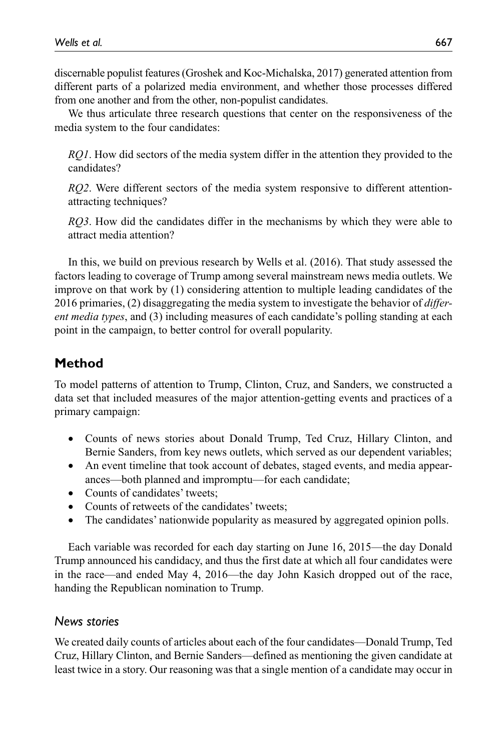discernable populist features (Groshek and Koc-Michalska, 2017) generated attention from different parts of a polarized media environment, and whether those processes differed from one another and from the other, non-populist candidates.

We thus articulate three research questions that center on the responsiveness of the media system to the four candidates:

*RQ1*. How did sectors of the media system differ in the attention they provided to the candidates?

*RQ2*. Were different sectors of the media system responsive to different attentionattracting techniques?

*RQ3*. How did the candidates differ in the mechanisms by which they were able to attract media attention?

In this, we build on previous research by Wells et al. (2016). That study assessed the factors leading to coverage of Trump among several mainstream news media outlets. We improve on that work by (1) considering attention to multiple leading candidates of the 2016 primaries, (2) disaggregating the media system to investigate the behavior of *different media types*, and (3) including measures of each candidate's polling standing at each point in the campaign, to better control for overall popularity.

# **Method**

To model patterns of attention to Trump, Clinton, Cruz, and Sanders, we constructed a data set that included measures of the major attention-getting events and practices of a primary campaign:

- Counts of news stories about Donald Trump, Ted Cruz, Hillary Clinton, and Bernie Sanders, from key news outlets, which served as our dependent variables;
- An event timeline that took account of debates, staged events, and media appearances—both planned and impromptu—for each candidate;
- Counts of candidates' tweets:
- Counts of retweets of the candidates' tweets:
- The candidates' nationwide popularity as measured by aggregated opinion polls.

Each variable was recorded for each day starting on June 16, 2015—the day Donald Trump announced his candidacy, and thus the first date at which all four candidates were in the race—and ended May 4, 2016—the day John Kasich dropped out of the race, handing the Republican nomination to Trump.

### *News stories*

We created daily counts of articles about each of the four candidates—Donald Trump, Ted Cruz, Hillary Clinton, and Bernie Sanders—defined as mentioning the given candidate at least twice in a story. Our reasoning was that a single mention of a candidate may occur in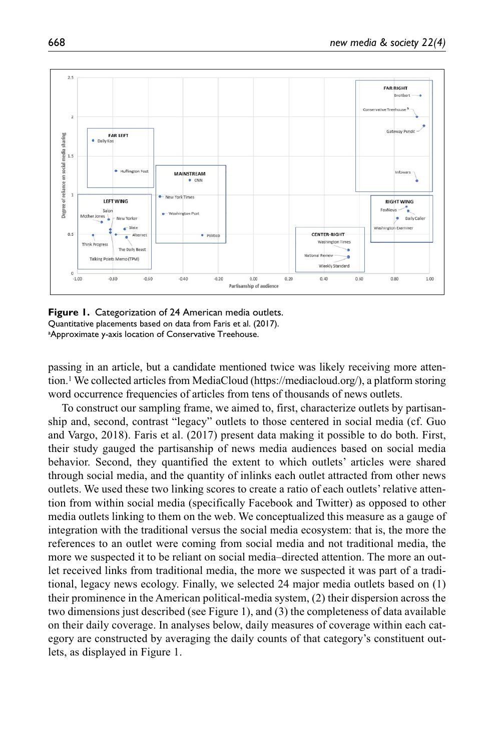

**Figure 1.** Categorization of 24 American media outlets. Quantitative placements based on data from Faris et al. (2017). a Approximate y-axis location of Conservative Treehouse.

passing in an article, but a candidate mentioned twice was likely receiving more attention.1 We collected articles from MediaCloud (<https://mediacloud.org/>), a platform storing word occurrence frequencies of articles from tens of thousands of news outlets.

To construct our sampling frame, we aimed to, first, characterize outlets by partisanship and, second, contrast "legacy" outlets to those centered in social media (cf. Guo and Vargo, 2018). Faris et al. (2017) present data making it possible to do both. First, their study gauged the partisanship of news media audiences based on social media behavior. Second, they quantified the extent to which outlets' articles were shared through social media, and the quantity of inlinks each outlet attracted from other news outlets. We used these two linking scores to create a ratio of each outlets' relative attention from within social media (specifically Facebook and Twitter) as opposed to other media outlets linking to them on the web. We conceptualized this measure as a gauge of integration with the traditional versus the social media ecosystem: that is, the more the references to an outlet were coming from social media and not traditional media, the more we suspected it to be reliant on social media–directed attention. The more an outlet received links from traditional media, the more we suspected it was part of a traditional, legacy news ecology. Finally, we selected 24 major media outlets based on (1) their prominence in the American political-media system, (2) their dispersion across the two dimensions just described (see Figure 1), and (3) the completeness of data available on their daily coverage. In analyses below, daily measures of coverage within each category are constructed by averaging the daily counts of that category's constituent outlets, as displayed in Figure 1.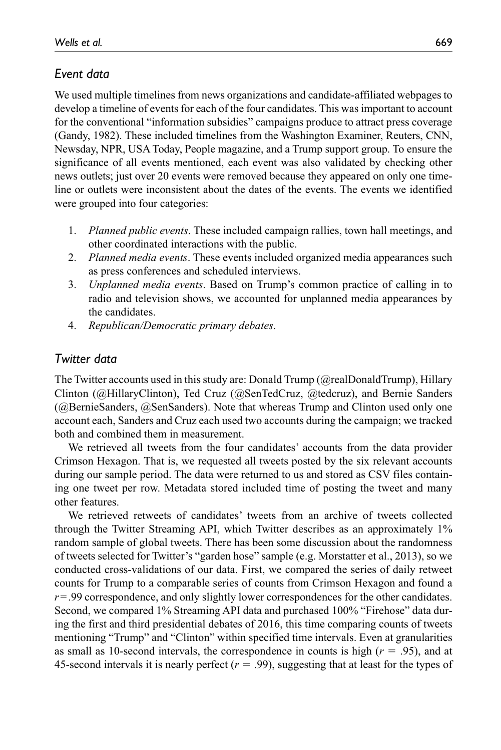### *Event data*

We used multiple timelines from news organizations and candidate-affiliated webpages to develop a timeline of events for each of the four candidates. This was important to account for the conventional "information subsidies" campaigns produce to attract press coverage (Gandy, 1982). These included timelines from the Washington Examiner, Reuters, CNN, Newsday, NPR, USA Today, People magazine, and a Trump support group. To ensure the significance of all events mentioned, each event was also validated by checking other news outlets; just over 20 events were removed because they appeared on only one timeline or outlets were inconsistent about the dates of the events. The events we identified were grouped into four categories:

- 1. *Planned public events*. These included campaign rallies, town hall meetings, and other coordinated interactions with the public.
- 2. *Planned media events*. These events included organized media appearances such as press conferences and scheduled interviews.
- 3. *Unplanned media events*. Based on Trump's common practice of calling in to radio and television shows, we accounted for unplanned media appearances by the candidates.
- 4. *Republican/Democratic primary debates*.

### *Twitter data*

The Twitter accounts used in this study are: Donald Trump (@realDonaldTrump), Hillary Clinton (@HillaryClinton), Ted Cruz (@SenTedCruz, @tedcruz), and Bernie Sanders (@BernieSanders, @SenSanders). Note that whereas Trump and Clinton used only one account each, Sanders and Cruz each used two accounts during the campaign; we tracked both and combined them in measurement.

We retrieved all tweets from the four candidates' accounts from the data provider Crimson Hexagon. That is, we requested all tweets posted by the six relevant accounts during our sample period. The data were returned to us and stored as CSV files containing one tweet per row. Metadata stored included time of posting the tweet and many other features.

We retrieved retweets of candidates' tweets from an archive of tweets collected through the Twitter Streaming API, which Twitter describes as an approximately 1% random sample of global tweets. There has been some discussion about the randomness of tweets selected for Twitter's "garden hose" sample (e.g. Morstatter et al., 2013), so we conducted cross-validations of our data. First, we compared the series of daily retweet counts for Trump to a comparable series of counts from Crimson Hexagon and found a *r*=.99 correspondence, and only slightly lower correspondences for the other candidates. Second, we compared 1% Streaming API data and purchased 100% "Firehose" data during the first and third presidential debates of 2016, this time comparing counts of tweets mentioning "Trump" and "Clinton" within specified time intervals. Even at granularities as small as 10-second intervals, the correspondence in counts is high (*r* = .95), and at 45-second intervals it is nearly perfect (*r* = .99), suggesting that at least for the types of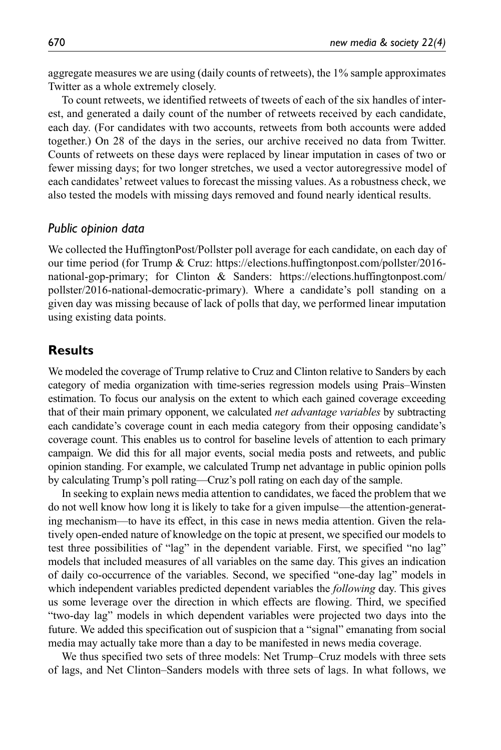aggregate measures we are using (daily counts of retweets), the 1% sample approximates Twitter as a whole extremely closely.

To count retweets, we identified retweets of tweets of each of the six handles of interest, and generated a daily count of the number of retweets received by each candidate, each day. (For candidates with two accounts, retweets from both accounts were added together.) On 28 of the days in the series, our archive received no data from Twitter. Counts of retweets on these days were replaced by linear imputation in cases of two or fewer missing days; for two longer stretches, we used a vector autoregressive model of each candidates' retweet values to forecast the missing values. As a robustness check, we also tested the models with missing days removed and found nearly identical results.

#### *Public opinion data*

We collected the HuffingtonPost/Pollster poll average for each candidate, on each day of our time period (for Trump & Cruz: [https://elections.huffingtonpost.com/pollster/2016](https://elections.huffingtonpost.com/pollster/2016-national-gop-primary) [national-gop-primary](https://elections.huffingtonpost.com/pollster/2016-national-gop-primary); for Clinton & Sanders: [https://elections.huffingtonpost.com/](https://elections.huffingtonpost.com/pollster/2016-national-democratic-primary) [pollster/2016-national-democratic-primary\)](https://elections.huffingtonpost.com/pollster/2016-national-democratic-primary). Where a candidate's poll standing on a given day was missing because of lack of polls that day, we performed linear imputation using existing data points.

### **Results**

We modeled the coverage of Trump relative to Cruz and Clinton relative to Sanders by each category of media organization with time-series regression models using Prais–Winsten estimation. To focus our analysis on the extent to which each gained coverage exceeding that of their main primary opponent, we calculated *net advantage variables* by subtracting each candidate's coverage count in each media category from their opposing candidate's coverage count. This enables us to control for baseline levels of attention to each primary campaign. We did this for all major events, social media posts and retweets, and public opinion standing. For example, we calculated Trump net advantage in public opinion polls by calculating Trump's poll rating—Cruz's poll rating on each day of the sample.

In seeking to explain news media attention to candidates, we faced the problem that we do not well know how long it is likely to take for a given impulse—the attention-generating mechanism—to have its effect, in this case in news media attention. Given the relatively open-ended nature of knowledge on the topic at present, we specified our models to test three possibilities of "lag" in the dependent variable. First, we specified "no lag" models that included measures of all variables on the same day. This gives an indication of daily co-occurrence of the variables. Second, we specified "one-day lag" models in which independent variables predicted dependent variables the *following* day. This gives us some leverage over the direction in which effects are flowing. Third, we specified "two-day lag" models in which dependent variables were projected two days into the future. We added this specification out of suspicion that a "signal" emanating from social media may actually take more than a day to be manifested in news media coverage.

We thus specified two sets of three models: Net Trump–Cruz models with three sets of lags, and Net Clinton–Sanders models with three sets of lags. In what follows, we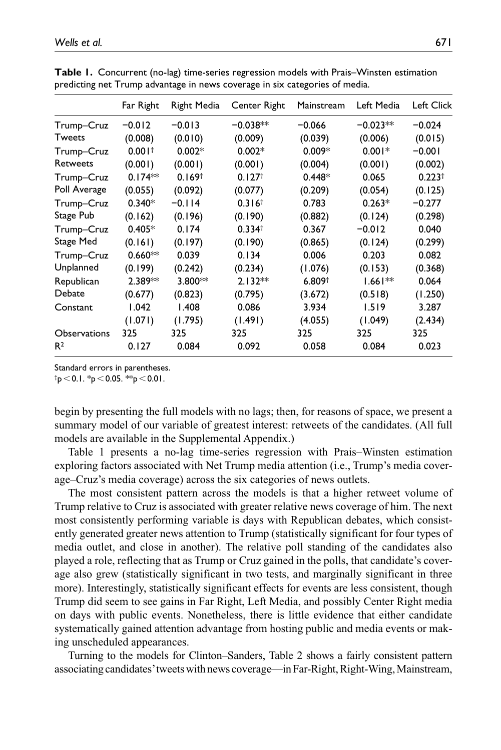|                     | Far Right          | Right Media        | Center Right         | Mainstream         | Left Media | Left Click         |
|---------------------|--------------------|--------------------|----------------------|--------------------|------------|--------------------|
| Trump-Cruz          | $-0.012$           | $-0.013$           | $-0.038**$           | $-0.066$           | $-0.023**$ | $-0.024$           |
| <b>Tweets</b>       | (0.008)            | (0.010)            | (0.009)              | (0.039)            | (0.006)    | (0.015)            |
| Trump-Cruz          | 0.001 <sup>†</sup> | $0.002*$           | $0.002*$             | $0.009*$           | $0.001*$   | $-0.001$           |
| <b>Retweets</b>     | (0.001)            | (0.001)            | (0.001)              | (0.004)            | (0.001)    | (0.002)            |
| Trump-Cruz          | $0.174**$          | 0.169 <sup>†</sup> | $0.127$ <sup>+</sup> | $0.448*$           | 0.065      | 0.223 <sup>†</sup> |
| Poll Average        | (0.055)            | (0.092)            | (0.077)              | (0.209)            | (0.054)    | (0.125)            |
| Trump-Cruz          | $0.340*$           | $-0.114$           | 0.316 <sup>†</sup>   | 0.783              | $0.263*$   | $-0.277$           |
| Stage Pub           | (0.162)            | (0.196)            | (0.190)              | (0.882)            | (0.124)    | (0.298)            |
| Trump-Cruz          | $0.405*$           | 0.174              | $0.334^{+}$          | 0.367              | $-0.012$   | 0.040              |
| Stage Med           | (0.161)            | (0.197)            | (0.190)              | (0.865)            | (0.124)    | (0.299)            |
| Trump-Cruz          | $0.660**$          | 0.039              | 0.134                | 0.006              | 0.203      | 0.082              |
| Unplanned           | (0.199)            | (0.242)            | (0.234)              | (1.076)            | (0.153)    | (0.368)            |
| Republican          | $2.389**$          | 3.800**            | $2.132**$            | 6.809 <sup>†</sup> | $1.661**$  | 0.064              |
| Debate              | (0.677)            | (0.823)            | (0.795)              | (3.672)            | (0.518)    | (1.250)            |
| Constant            | 1.042              | 1.408              | 0.086                | 3.934              | 1.519      | 3.287              |
|                     | (1.071)            | (1.795)            | (1.491)              | (4.055)            | (1.049)    | (2.434)            |
| <b>Observations</b> | 325                | 325                | 325                  | 325                | 325        | 325                |
| R <sup>2</sup>      | 0.127              | 0.084              | 0.092                | 0.058              | 0.084      | 0.023              |

**Table 1.** Concurrent (no-lag) time-series regression models with Prais–Winsten estimation predicting net Trump advantage in news coverage in six categories of media.

Standard errors in parentheses.

 $\frac{1}{1}$ p < 0.1.  $\frac{k}{p}$  < 0.05.  $\frac{k}{p}$  < 0.01.

begin by presenting the full models with no lags; then, for reasons of space, we present a summary model of our variable of greatest interest: retweets of the candidates. (All full models are available in the Supplemental Appendix.)

Table 1 presents a no-lag time-series regression with Prais–Winsten estimation exploring factors associated with Net Trump media attention (i.e., Trump's media coverage–Cruz's media coverage) across the six categories of news outlets.

The most consistent pattern across the models is that a higher retweet volume of Trump relative to Cruz is associated with greater relative news coverage of him. The next most consistently performing variable is days with Republican debates, which consistently generated greater news attention to Trump (statistically significant for four types of media outlet, and close in another). The relative poll standing of the candidates also played a role, reflecting that as Trump or Cruz gained in the polls, that candidate's coverage also grew (statistically significant in two tests, and marginally significant in three more). Interestingly, statistically significant effects for events are less consistent, though Trump did seem to see gains in Far Right, Left Media, and possibly Center Right media on days with public events. Nonetheless, there is little evidence that either candidate systematically gained attention advantage from hosting public and media events or making unscheduled appearances.

Turning to the models for Clinton–Sanders, Table 2 shows a fairly consistent pattern associating candidates' tweets with news coverage—in Far-Right, Right-Wing, Mainstream,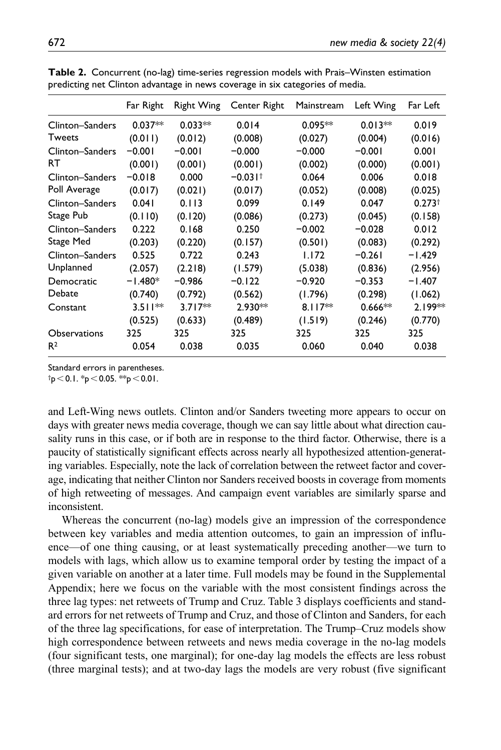|                     | Far Right | Right Wing | Center Right | Mainstream | Left Wing | Far Left           |
|---------------------|-----------|------------|--------------|------------|-----------|--------------------|
| Clinton-Sanders     | $0.037**$ | $0.033**$  | 0.014        | $0.095**$  | $0.013**$ | 0.019              |
| <b>Tweets</b>       | (0.011)   | (0.012)    | (0.008)      | (0.027)    | (0.004)   | (0.016)            |
| Clinton-Sanders     | $-0.001$  | -0.001     | $-0.000$     | $-0.000$   | $-0.001$  | 0.001              |
| RT                  | (0.001)   | (0.001)    | (0.001)      | (0.002)    | (0.000)   | (0.001)            |
| Clinton-Sanders     | $-0.018$  | 0.000      | $-0.031$ †   | 0.064      | 0.006     | 0.018              |
| Poll Average        | (0.017)   | (0.021)    | (0.017)      | (0.052)    | (0.008)   | (0.025)            |
| Clinton-Sanders     | 0.041     | 0.113      | 0.099        | 0.149      | 0.047     | 0.273 <sup>†</sup> |
| Stage Pub           | (0.110)   | (0.120)    | (0.086)      | (0.273)    | (0.045)   | (0.158)            |
| Clinton-Sanders     | 0.222     | 0.168      | 0.250        | $-0.002$   | $-0.028$  | 0.012              |
| Stage Med           | (0.203)   | (0.220)    | (0.157)      | (0.501)    | (0.083)   | (0.292)            |
| Clinton-Sanders     | 0.525     | 0.722      | 0.243        | 1.172      | $-0.261$  | -1.429             |
| Unplanned           | (2.057)   | (2.218)    | (1.579)      | (5.038)    | (0.836)   | (2.956)            |
| Democratic          | $-1.480*$ | $-0.986$   | $-0.122$     | $-0.920$   | $-0.353$  | $-1.407$           |
| Debate              | (0.740)   | (0.792)    | (0.562)      | (1.796)    | (0.298)   | (1.062)            |
| Constant            | $3.511**$ | $3.717**$  | 2.930**      | $8.117**$  | $0.666**$ | $2.199**$          |
|                     | (0.525)   | (0.633)    | (0.489)      | (1.519)    | (0.246)   | (0.770)            |
| <b>Observations</b> | 325       | 325        | 325          | 325        | 325       | 325                |
| R <sup>2</sup>      | 0.054     | 0.038      | 0.035        | 0.060      | 0.040     | 0.038              |

**Table 2.** Concurrent (no-lag) time-series regression models with Prais–Winsten estimation predicting net Clinton advantage in news coverage in six categories of media.

Standard errors in parentheses.

 $\frac{1}{1}p < 0.1$ .  $\frac{k}{p} < 0.05$ .  $\frac{k}{p} < 0.01$ .

and Left-Wing news outlets. Clinton and/or Sanders tweeting more appears to occur on days with greater news media coverage, though we can say little about what direction causality runs in this case, or if both are in response to the third factor. Otherwise, there is a paucity of statistically significant effects across nearly all hypothesized attention-generating variables. Especially, note the lack of correlation between the retweet factor and coverage, indicating that neither Clinton nor Sanders received boosts in coverage from moments of high retweeting of messages. And campaign event variables are similarly sparse and inconsistent.

Whereas the concurrent (no-lag) models give an impression of the correspondence between key variables and media attention outcomes, to gain an impression of influence—of one thing causing, or at least systematically preceding another—we turn to models with lags, which allow us to examine temporal order by testing the impact of a given variable on another at a later time. Full models may be found in the Supplemental Appendix; here we focus on the variable with the most consistent findings across the three lag types: net retweets of Trump and Cruz. Table 3 displays coefficients and standard errors for net retweets of Trump and Cruz, and those of Clinton and Sanders, for each of the three lag specifications, for ease of interpretation. The Trump–Cruz models show high correspondence between retweets and news media coverage in the no-lag models (four significant tests, one marginal); for one-day lag models the effects are less robust (three marginal tests); and at two-day lags the models are very robust (five significant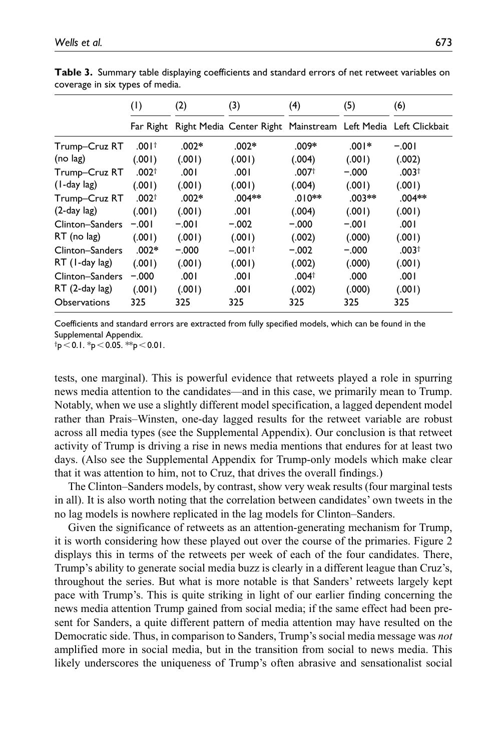|                         | (1)               | (2)     | (3)                  | (4)               | (5)      | (6)                                                           |
|-------------------------|-------------------|---------|----------------------|-------------------|----------|---------------------------------------------------------------|
|                         | Far Right         |         |                      |                   |          | Right Media Center Right Mainstream Left Media Left Clickbait |
| Trump-Cruz RT           | .001 <sup>†</sup> | $.002*$ | $.002*$              | $.009*$           | $.001*$  | $-.001$                                                       |
| (no lag)                | (.001)            | (.001)  | (.001)               | (.004)            | (.001)   | (.002)                                                        |
| Trump-Cruz RT           | .002†             | 00۱.    | .001                 | .007†             | $-.000$  | .003 <sup>†</sup>                                             |
| $(1-day lag)$           | (.001)            | (.001)  | (.001)               | (.004)            | (.001)   | (.001)                                                        |
| Trump-Cruz RT           | .002 <sup>†</sup> | $.002*$ | $.004**$             | $.010**$          | $.003**$ | $.004**$                                                      |
| $(2-day \, lag)$        | (.001)            | (.001)  | .001                 | (.004)            | (.001)   | (.001)                                                        |
| Clinton-Sanders         | $-0.01$           | $-.001$ | $-.002$              | $-.000$           | $-.001$  | .001                                                          |
| RT (no lag)             | (.001)            | (.001)  | (.001)               | (.002)            | (.000)   | (.001)                                                        |
| Clinton-Sanders         | $.002*$           | $-.000$ | $-.001$ <sup>+</sup> | $-.002$           | $-.000$  | .003 <sup>†</sup>                                             |
| $RT(1-day \text{ lag})$ | (.001)            | (.001)  | (.001)               | (.002)            | (.000)   | (.001)                                                        |
| Clinton-Sanders         | $-.000$           | .001    | .001                 | .004 <sup>†</sup> | .000     | .001                                                          |
| $RT(2$ -day lag)        | (.001)            | (.001)  | .001                 | (.002)            | (.000)   | (.001)                                                        |
| <b>Observations</b>     | 325               | 325     | 325                  | 325               | 325      | 325                                                           |

**Table 3.** Summary table displaying coefficients and standard errors of net retweet variables on coverage in six types of media.

Coefficients and standard errors are extracted from fully specified models, which can be found in the Supplemental Appendix.

 $\text{t}_{\text{p}}$  < 0.1.  $\text{t}_{\text{p}}$  < 0.05.  $\text{t}_{\text{p}}$  < 0.01.

tests, one marginal). This is powerful evidence that retweets played a role in spurring news media attention to the candidates—and in this case, we primarily mean to Trump. Notably, when we use a slightly different model specification, a lagged dependent model rather than Prais–Winsten, one-day lagged results for the retweet variable are robust across all media types (see the Supplemental Appendix). Our conclusion is that retweet activity of Trump is driving a rise in news media mentions that endures for at least two days. (Also see the Supplemental Appendix for Trump-only models which make clear that it was attention to him, not to Cruz, that drives the overall findings.)

The Clinton–Sanders models, by contrast, show very weak results (four marginal tests in all). It is also worth noting that the correlation between candidates' own tweets in the no lag models is nowhere replicated in the lag models for Clinton–Sanders.

Given the significance of retweets as an attention-generating mechanism for Trump, it is worth considering how these played out over the course of the primaries. Figure 2 displays this in terms of the retweets per week of each of the four candidates. There, Trump's ability to generate social media buzz is clearly in a different league than Cruz's, throughout the series. But what is more notable is that Sanders' retweets largely kept pace with Trump's. This is quite striking in light of our earlier finding concerning the news media attention Trump gained from social media; if the same effect had been present for Sanders, a quite different pattern of media attention may have resulted on the Democratic side. Thus, in comparison to Sanders, Trump's social media message was *not* amplified more in social media, but in the transition from social to news media. This likely underscores the uniqueness of Trump's often abrasive and sensationalist social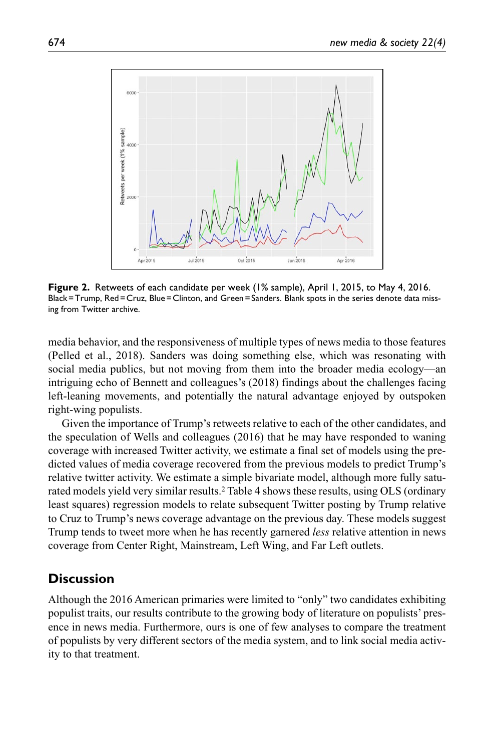

**Figure 2.** Retweets of each candidate per week (1% sample), April 1, 2015, to May 4, 2016. Black=Trump, Red=Cruz, Blue=Clinton, and Green=Sanders. Blank spots in the series denote data missing from Twitter archive.

media behavior, and the responsiveness of multiple types of news media to those features (Pelled et al., 2018). Sanders was doing something else, which was resonating with social media publics, but not moving from them into the broader media ecology—an intriguing echo of Bennett and colleagues's (2018) findings about the challenges facing left-leaning movements, and potentially the natural advantage enjoyed by outspoken right-wing populists.

Given the importance of Trump's retweets relative to each of the other candidates, and the speculation of Wells and colleagues (2016) that he may have responded to waning coverage with increased Twitter activity, we estimate a final set of models using the predicted values of media coverage recovered from the previous models to predict Trump's relative twitter activity. We estimate a simple bivariate model, although more fully saturated models yield very similar results.2 Table 4 shows these results, using OLS (ordinary least squares) regression models to relate subsequent Twitter posting by Trump relative to Cruz to Trump's news coverage advantage on the previous day. These models suggest Trump tends to tweet more when he has recently garnered *less* relative attention in news coverage from Center Right, Mainstream, Left Wing, and Far Left outlets.

## **Discussion**

Although the 2016 American primaries were limited to "only" two candidates exhibiting populist traits, our results contribute to the growing body of literature on populists' presence in news media. Furthermore, ours is one of few analyses to compare the treatment of populists by very different sectors of the media system, and to link social media activity to that treatment.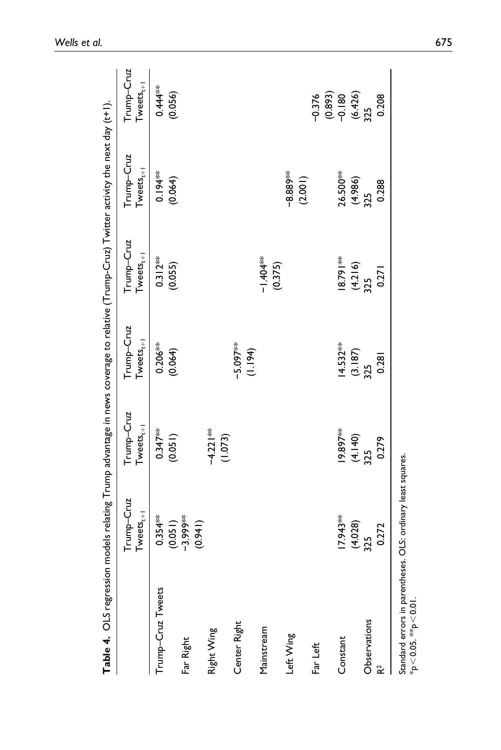| Table 4. OLS regression models relating Trump advantage in news coverage to relative (Trump-Cruz) Twitter activity the next day (t+1). |                                  |                                                                                                |                                  |                                  |                                  |                                  |
|----------------------------------------------------------------------------------------------------------------------------------------|----------------------------------|------------------------------------------------------------------------------------------------|----------------------------------|----------------------------------|----------------------------------|----------------------------------|
|                                                                                                                                        | Trump-Cruz<br>$T$ weets $_{t+1}$ | Trump-Cruz<br>$T$ weets $_{t+1}$                                                               | Trump-Cruz<br>$T$ weets $_{t+1}$ | Trump-Cruz<br>$T$ weets $_{t+1}$ | Trump-Cruz<br>$T$ weets $_{t+1}$ | Trump-Cruz<br>$T$ weets $_{t+1}$ |
| Trump-Cruz Tweets                                                                                                                      | $0.354***$                       | $-$<br>$-$<br>$-$<br>$-$<br>$-$<br><br>$-$<br><br><br><br><br><br><br><br><br><br><br><br><br> | $0.206**$                        | $0.312***$                       | $rac{1}{3}$<br>$rac{1}{3}$       | $0.444**$                        |
|                                                                                                                                        | $(0.051)$<br>-3.999**            | (0.051)                                                                                        | (0.064)                          | (0.055)                          | (0.064)                          | (0.056)                          |
| Far Right                                                                                                                              | (0.941)                          |                                                                                                |                                  |                                  |                                  |                                  |
| Right Wing                                                                                                                             |                                  | $-4.22$  **<br>(1.073)                                                                         |                                  |                                  |                                  |                                  |
| Center Right                                                                                                                           |                                  |                                                                                                | $-5.097**$                       |                                  |                                  |                                  |
|                                                                                                                                        |                                  |                                                                                                | (1.194)                          |                                  |                                  |                                  |
| Mainstream                                                                                                                             |                                  |                                                                                                |                                  | $+1.404 - 1$<br>(0.375)          |                                  |                                  |
| Left Wing                                                                                                                              |                                  |                                                                                                |                                  |                                  | $-8.889**$                       |                                  |
|                                                                                                                                        |                                  |                                                                                                |                                  |                                  | (2.001)                          |                                  |
| Far Left                                                                                                                               |                                  |                                                                                                |                                  |                                  |                                  | $-0.376$                         |
|                                                                                                                                        |                                  |                                                                                                |                                  |                                  |                                  |                                  |
| Constant                                                                                                                               | 17.943**                         | 19.897**                                                                                       | $14.532***$                      | 18.791**                         | 26.500**                         | $(0.893)$<br>$-0.180$            |
|                                                                                                                                        | $(4.028)$<br>325                 | $(4.140)$<br>325                                                                               | $(3.187)$<br>325                 | $(4.216)$<br>325                 | $(4.986)$<br>325                 | $(6.426)$<br>325                 |
| Observations                                                                                                                           |                                  |                                                                                                |                                  |                                  |                                  |                                  |
| R <sup>2</sup>                                                                                                                         | 0.272                            | 0.279                                                                                          | 0.281                            | 0.271                            | 0.288                            | 0.208                            |
| Standard errors in parentheses. OLS: ordinary least squares.<br>$*_{\text{p}}$ < 0.05. $*_{\text{p}}$ < 0.01.                          |                                  |                                                                                                |                                  |                                  |                                  |                                  |

*Wells et al.* 675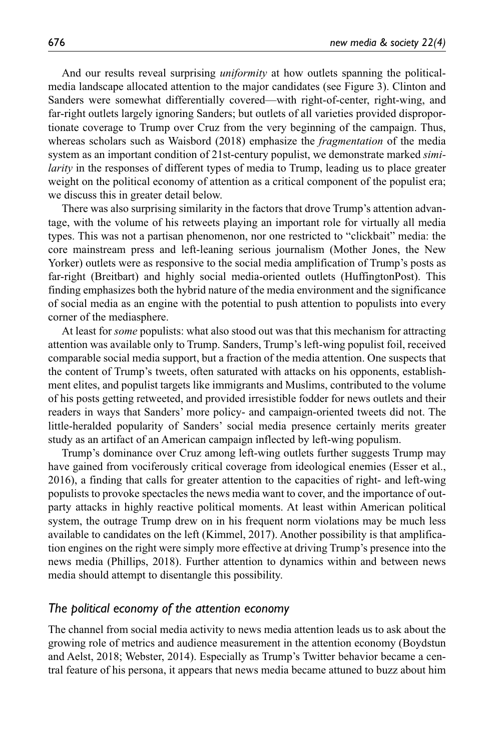And our results reveal surprising *uniformity* at how outlets spanning the politicalmedia landscape allocated attention to the major candidates (see Figure 3). Clinton and Sanders were somewhat differentially covered—with right-of-center, right-wing, and far-right outlets largely ignoring Sanders; but outlets of all varieties provided disproportionate coverage to Trump over Cruz from the very beginning of the campaign. Thus, whereas scholars such as Waisbord (2018) emphasize the *fragmentation* of the media system as an important condition of 21st-century populist, we demonstrate marked *similarity* in the responses of different types of media to Trump, leading us to place greater weight on the political economy of attention as a critical component of the populist era; we discuss this in greater detail below.

There was also surprising similarity in the factors that drove Trump's attention advantage, with the volume of his retweets playing an important role for virtually all media types. This was not a partisan phenomenon, nor one restricted to "clickbait" media: the core mainstream press and left-leaning serious journalism (Mother Jones, the New Yorker) outlets were as responsive to the social media amplification of Trump's posts as far-right (Breitbart) and highly social media-oriented outlets (HuffingtonPost). This finding emphasizes both the hybrid nature of the media environment and the significance of social media as an engine with the potential to push attention to populists into every corner of the mediasphere.

At least for *some* populists: what also stood out was that this mechanism for attracting attention was available only to Trump. Sanders, Trump's left-wing populist foil, received comparable social media support, but a fraction of the media attention. One suspects that the content of Trump's tweets, often saturated with attacks on his opponents, establishment elites, and populist targets like immigrants and Muslims, contributed to the volume of his posts getting retweeted, and provided irresistible fodder for news outlets and their readers in ways that Sanders' more policy- and campaign-oriented tweets did not. The little-heralded popularity of Sanders' social media presence certainly merits greater study as an artifact of an American campaign inflected by left-wing populism.

Trump's dominance over Cruz among left-wing outlets further suggests Trump may have gained from vociferously critical coverage from ideological enemies (Esser et al., 2016), a finding that calls for greater attention to the capacities of right- and left-wing populists to provoke spectacles the news media want to cover, and the importance of outparty attacks in highly reactive political moments. At least within American political system, the outrage Trump drew on in his frequent norm violations may be much less available to candidates on the left (Kimmel, 2017). Another possibility is that amplification engines on the right were simply more effective at driving Trump's presence into the news media (Phillips, 2018). Further attention to dynamics within and between news media should attempt to disentangle this possibility.

#### *The political economy of the attention economy*

The channel from social media activity to news media attention leads us to ask about the growing role of metrics and audience measurement in the attention economy (Boydstun and Aelst, 2018; Webster, 2014). Especially as Trump's Twitter behavior became a central feature of his persona, it appears that news media became attuned to buzz about him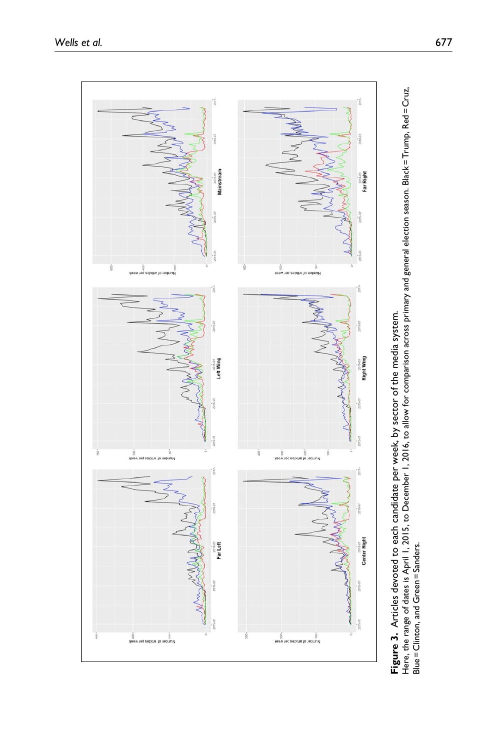

**Figure 3.** Articles devoted to each candidate per week, by sector of the media system.<br>Here, the range of dates is April I, 2015, to December I, 2016, to allow for comparison across primary and general election season. Bl Figure 3. Articles devoted to each candidate per week, by sector of the media system.<br>Here, the range of dates is April I, 2015, to December I, 2016, to allow for comparison across primary and general election season. Blac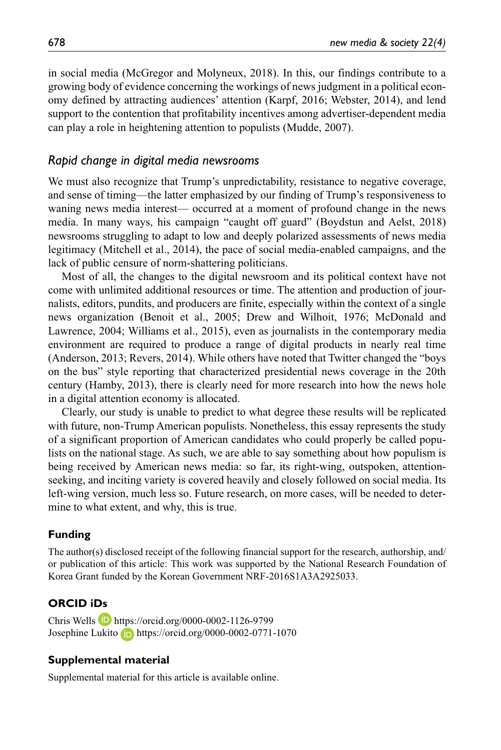in social media (McGregor and Molyneux, 2018). In this, our findings contribute to a growing body of evidence concerning the workings of news judgment in a political economy defined by attracting audiences' attention (Karpf, 2016; Webster, 2014), and lend support to the contention that profitability incentives among advertiser-dependent media can play a role in heightening attention to populists (Mudde, 2007).

#### *Rapid change in digital media newsrooms*

We must also recognize that Trump's unpredictability, resistance to negative coverage, and sense of timing—the latter emphasized by our finding of Trump's responsiveness to waning news media interest— occurred at a moment of profound change in the news media. In many ways, his campaign "caught off guard" (Boydstun and Aelst, 2018) newsrooms struggling to adapt to low and deeply polarized assessments of news media legitimacy (Mitchell et al., 2014), the pace of social media-enabled campaigns, and the lack of public censure of norm-shattering politicians.

Most of all, the changes to the digital newsroom and its political context have not come with unlimited additional resources or time. The attention and production of journalists, editors, pundits, and producers are finite, especially within the context of a single news organization (Benoit et al., 2005; Drew and Wilhoit, 1976; McDonald and Lawrence, 2004; Williams et al., 2015), even as journalists in the contemporary media environment are required to produce a range of digital products in nearly real time (Anderson, 2013; Revers, 2014). While others have noted that Twitter changed the "boys on the bus" style reporting that characterized presidential news coverage in the 20th century (Hamby, 2013), there is clearly need for more research into how the news hole in a digital attention economy is allocated.

Clearly, our study is unable to predict to what degree these results will be replicated with future, non-Trump American populists. Nonetheless, this essay represents the study of a significant proportion of American candidates who could properly be called populists on the national stage. As such, we are able to say something about how populism is being received by American news media: so far, its right-wing, outspoken, attentionseeking, and inciting variety is covered heavily and closely followed on social media. Its left-wing version, much less so. Future research, on more cases, will be needed to determine to what extent, and why, this is true.

#### **Funding**

The author(s) disclosed receipt of the following financial support for the research, authorship, and/ or publication of this article: This work was supported by the National Research Foundation of Korea Grant funded by the Korean Government NRF-2016S1A3A2925033.

### **ORCID iDs**

Chris Wells **D** <https://orcid.org/0000-0002-1126-9799> Josephine Lukito **<https://orcid.org/0000-0002-0771-1070>** 

#### **Supplemental material**

Supplemental material for this article is available online.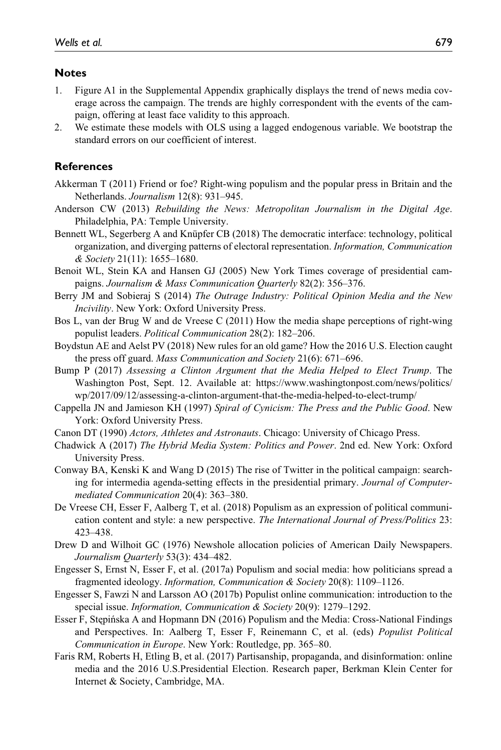#### **Notes**

- 1. Figure A1 in the Supplemental Appendix graphically displays the trend of news media coverage across the campaign. The trends are highly correspondent with the events of the campaign, offering at least face validity to this approach.
- 2. We estimate these models with OLS using a lagged endogenous variable. We bootstrap the standard errors on our coefficient of interest.

#### **References**

- Akkerman T (2011) Friend or foe? Right-wing populism and the popular press in Britain and the Netherlands. *Journalism* 12(8): 931–945.
- Anderson CW (2013) *Rebuilding the News: Metropolitan Journalism in the Digital Age*. Philadelphia, PA: Temple University.
- Bennett WL, Segerberg A and Knüpfer CB (2018) The democratic interface: technology, political organization, and diverging patterns of electoral representation. *Information, Communication & Society* 21(11): 1655–1680.
- Benoit WL, Stein KA and Hansen GJ (2005) New York Times coverage of presidential campaigns. *Journalism & Mass Communication Quarterly* 82(2): 356–376.
- Berry JM and Sobieraj S (2014) *The Outrage Industry: Political Opinion Media and the New Incivility*. New York: Oxford University Press.
- Bos L, van der Brug W and de Vreese C (2011) How the media shape perceptions of right-wing populist leaders. *Political Communication* 28(2): 182–206.
- Boydstun AE and Aelst PV (2018) New rules for an old game? How the 2016 U.S. Election caught the press off guard. *Mass Communication and Society* 21(6): 671–696.
- Bump P (2017) *Assessing a Clinton Argument that the Media Helped to Elect Trump*. The Washington Post, Sept. 12. Available at: [https://www.washingtonpost.com/news/politics/](https://www.washingtonpost.com/news/politics/wp/2017/09/12/assessing-a-clinton-argument-that-the-media-helped-to-elect-trump/) [wp/2017/09/12/assessing-a-clinton-argument-that-the-media-helped-to-elect-trump/](https://www.washingtonpost.com/news/politics/wp/2017/09/12/assessing-a-clinton-argument-that-the-media-helped-to-elect-trump/)
- Cappella JN and Jamieson KH (1997) *Spiral of Cynicism: The Press and the Public Good*. New York: Oxford University Press.
- Canon DT (1990) *Actors, Athletes and Astronauts*. Chicago: University of Chicago Press.
- Chadwick A (2017) *The Hybrid Media System: Politics and Power*. 2nd ed. New York: Oxford University Press.
- Conway BA, Kenski K and Wang D (2015) The rise of Twitter in the political campaign: searching for intermedia agenda-setting effects in the presidential primary. *Journal of Computermediated Communication* 20(4): 363–380.
- De Vreese CH, Esser F, Aalberg T, et al. (2018) Populism as an expression of political communication content and style: a new perspective. *The International Journal of Press/Politics* 23: 423–438.
- Drew D and Wilhoit GC (1976) Newshole allocation policies of American Daily Newspapers. *Journalism Quarterly* 53(3): 434–482.
- Engesser S, Ernst N, Esser F, et al. (2017a) Populism and social media: how politicians spread a fragmented ideology. *Information, Communication & Society* 20(8): 1109–1126.
- Engesser S, Fawzi N and Larsson AO (2017b) Populist online communication: introduction to the special issue. *Information, Communication & Society* 20(9): 1279–1292.
- Esser F, Stępińska A and Hopmann DN (2016) Populism and the Media: Cross-National Findings and Perspectives. In: Aalberg T, Esser F, Reinemann C, et al. (eds) *Populist Political Communication in Europe*. New York: Routledge, pp. 365–80.
- Faris RM, Roberts H, Etling B, et al. (2017) Partisanship, propaganda, and disinformation: online media and the 2016 U.S.Presidential Election. Research paper, Berkman Klein Center for Internet & Society, Cambridge, MA.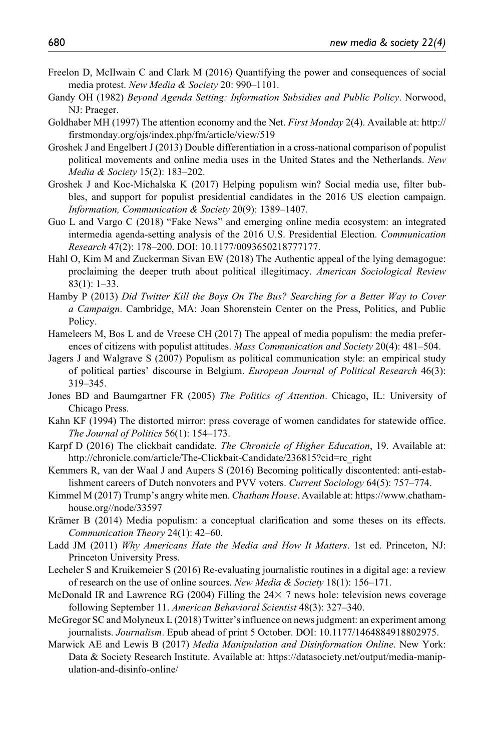- Freelon D, McIlwain C and Clark M (2016) Quantifying the power and consequences of social media protest. *New Media & Society* 20: 990–1101.
- Gandy OH (1982) *Beyond Agenda Setting: Information Subsidies and Public Policy*. Norwood, NJ: Praeger.
- Goldhaber MH (1997) The attention economy and the Net. *First Monday* 2(4). Available at: [http://](http://firstmonday.org/ojs/index.php/fm/article/view/519) [firstmonday.org/ojs/index.php/fm/article/view/519](http://firstmonday.org/ojs/index.php/fm/article/view/519)
- Groshek J and Engelbert J (2013) Double differentiation in a cross-national comparison of populist political movements and online media uses in the United States and the Netherlands. *New Media & Society* 15(2): 183–202.
- Groshek J and Koc-Michalska K (2017) Helping populism win? Social media use, filter bubbles, and support for populist presidential candidates in the 2016 US election campaign. *Information, Communication & Society* 20(9): 1389–1407.
- Guo L and Vargo C (2018) "Fake News" and emerging online media ecosystem: an integrated intermedia agenda-setting analysis of the 2016 U.S. Presidential Election. *Communication Research* 47(2): 178–200. DOI: 10.1177/0093650218777177.
- Hahl O, Kim M and Zuckerman Sivan EW (2018) The Authentic appeal of the lying demagogue: proclaiming the deeper truth about political illegitimacy. *American Sociological Review* 83(1): 1–33.
- Hamby P (2013) *Did Twitter Kill the Boys On The Bus? Searching for a Better Way to Cover a Campaign*. Cambridge, MA: Joan Shorenstein Center on the Press, Politics, and Public Policy.
- Hameleers M, Bos L and de Vreese CH (2017) The appeal of media populism: the media preferences of citizens with populist attitudes. *Mass Communication and Society* 20(4): 481–504.
- Jagers J and Walgrave S (2007) Populism as political communication style: an empirical study of political parties' discourse in Belgium. *European Journal of Political Research* 46(3): 319–345.
- Jones BD and Baumgartner FR (2005) *The Politics of Attention*. Chicago, IL: University of Chicago Press.
- Kahn KF (1994) The distorted mirror: press coverage of women candidates for statewide office. *The Journal of Politics* 56(1): 154–173.
- Karpf D (2016) The clickbait candidate. *The Chronicle of Higher Education*, 19. Available at: [http://chronicle.com/article/The-Clickbait-Candidate/236815?cid=rc\\_right](http://chronicle.com/article/The-Clickbait-Candidate/236815?cid=rc_right)
- Kemmers R, van der Waal J and Aupers S (2016) Becoming politically discontented: anti-establishment careers of Dutch nonvoters and PVV voters. *Current Sociology* 64(5): 757–774.
- Kimmel M (2017) Trump's angry white men. *Chatham House*. Available at: [https://www.chatham](https://www.chathamhouse.org//node/33597)[house.org//node/33597](https://www.chathamhouse.org//node/33597)
- Krämer B (2014) Media populism: a conceptual clarification and some theses on its effects. *Communication Theory* 24(1): 42–60.
- Ladd JM (2011) *Why Americans Hate the Media and How It Matters*. 1st ed. Princeton, NJ: Princeton University Press.
- Lecheler S and Kruikemeier S (2016) Re-evaluating journalistic routines in a digital age: a review of research on the use of online sources. *New Media & Society* 18(1): 156–171.
- McDonald IR and Lawrence RG (2004) Filling the  $24 \times 7$  news hole: television news coverage following September 11. *American Behavioral Scientist* 48(3): 327–340.
- McGregor SC and Molyneux L (2018) Twitter's influence on news judgment: an experiment among journalists. *Journalism*. Epub ahead of print 5 October. DOI: 10.1177/1464884918802975.
- Marwick AE and Lewis B (2017) *Media Manipulation and Disinformation Online*. New York: Data & Society Research Institute. Available at: [https://datasociety.net/output/media-manip](https://datasociety.net/output/media-manipulation-and-disinfo-online/)[ulation-and-disinfo-online/](https://datasociety.net/output/media-manipulation-and-disinfo-online/)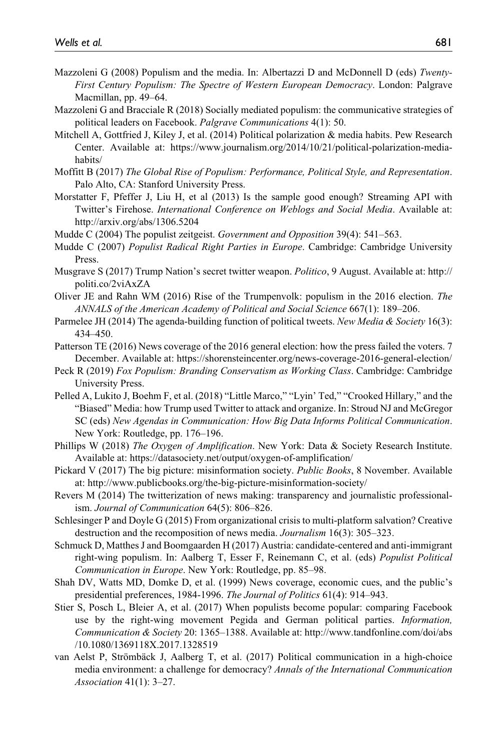- Mazzoleni G (2008) Populism and the media. In: Albertazzi D and McDonnell D (eds) *Twenty-First Century Populism: The Spectre of Western European Democracy*. London: Palgrave Macmillan, pp. 49–64.
- Mazzoleni G and Bracciale R (2018) Socially mediated populism: the communicative strategies of political leaders on Facebook. *Palgrave Communications* 4(1): 50.
- Mitchell A, Gottfried J, Kiley J, et al. (2014) Political polarization & media habits. Pew Research Center. Available at: [https://www.journalism.org/2014/10/21/political-polarization-media](https://www.journalism.org/2014/10/21/political-polarization-media-habits/)[habits/](https://www.journalism.org/2014/10/21/political-polarization-media-habits/)
- Moffitt B (2017) *The Global Rise of Populism: Performance, Political Style, and Representation*. Palo Alto, CA: Stanford University Press.
- Morstatter F, Pfeffer J, Liu H, et al (2013) Is the sample good enough? Streaming API with Twitter's Firehose. *International Conference on Weblogs and Social Media*. Available at: <http://arxiv.org/abs/1306.5204>
- Mudde C (2004) The populist zeitgeist. *Government and Opposition* 39(4): 541–563.
- Mudde C (2007) *Populist Radical Right Parties in Europe*. Cambridge: Cambridge University Press.
- Musgrave S (2017) Trump Nation's secret twitter weapon. *Politico*, 9 August. Available at: [http://](http://politi.co/2viAxZA) [politi.co/2viAxZA](http://politi.co/2viAxZA)
- Oliver JE and Rahn WM (2016) Rise of the Trumpenvolk: populism in the 2016 election. *The ANNALS of the American Academy of Political and Social Science* 667(1): 189–206.
- Parmelee JH (2014) The agenda-building function of political tweets. *New Media & Society* 16(3): 434–450.
- Patterson TE (2016) News coverage of the 2016 general election: how the press failed the voters. 7 December. Available at:<https://shorensteincenter.org/news-coverage-2016-general-election/>
- Peck R (2019) *Fox Populism: Branding Conservatism as Working Class*. Cambridge: Cambridge University Press.
- Pelled A, Lukito J, Boehm F, et al. (2018) "Little Marco," "Lyin' Ted," "Crooked Hillary," and the "Biased" Media: how Trump used Twitter to attack and organize. In: Stroud NJ and McGregor SC (eds) *New Agendas in Communication: How Big Data Informs Political Communication*. New York: Routledge, pp. 176–196.
- Phillips W (2018) *The Oxygen of Amplification*. New York: Data & Society Research Institute. Available at: <https://datasociety.net/output/oxygen-of-amplification/>
- Pickard V (2017) The big picture: misinformation society. *Public Books*, 8 November. Available at:<http://www.publicbooks.org/the-big-picture-misinformation-society/>
- Revers M (2014) The twitterization of news making: transparency and journalistic professionalism. *Journal of Communication* 64(5): 806–826.
- Schlesinger P and Doyle G (2015) From organizational crisis to multi-platform salvation? Creative destruction and the recomposition of news media. *Journalism* 16(3): 305–323.
- Schmuck D, Matthes J and Boomgaarden H (2017) Austria: candidate-centered and anti-immigrant right-wing populism. In: Aalberg T, Esser F, Reinemann C, et al. (eds) *Populist Political Communication in Europe*. New York: Routledge, pp. 85–98.
- Shah DV, Watts MD, Domke D, et al. (1999) News coverage, economic cues, and the public's presidential preferences, 1984-1996. *The Journal of Politics* 61(4): 914–943.
- Stier S, Posch L, Bleier A, et al. (2017) When populists become popular: comparing Facebook use by the right-wing movement Pegida and German political parties. *Information, Communication & Society* 20: 1365–1388. Available at: [http://www.tandfonline.com/doi/abs](http://www.tandfonline.com/doi/abs/10.1080/1369118X.2017.1328519) [/10.1080/1369118X.2017.1328519](http://www.tandfonline.com/doi/abs/10.1080/1369118X.2017.1328519)
- van Aelst P, Strömbäck J, Aalberg T, et al. (2017) Political communication in a high-choice media environment: a challenge for democracy? *Annals of the International Communication Association* 41(1): 3–27.